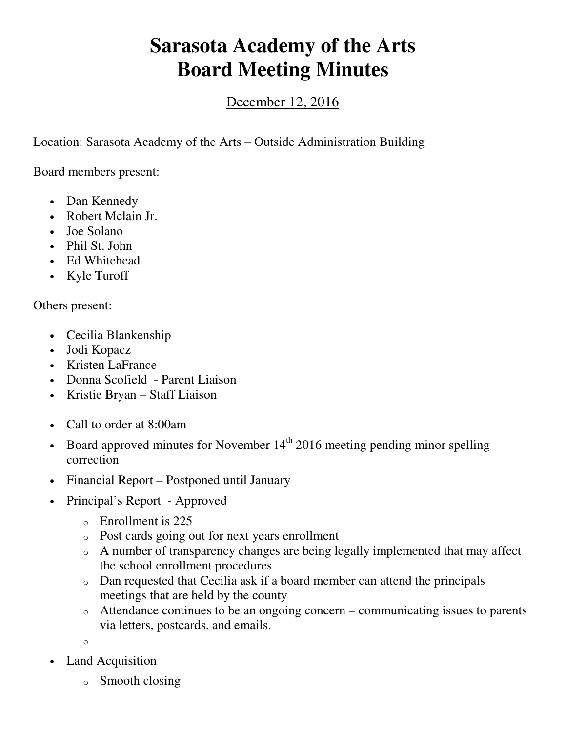## **Sarasota Academy of the Arts Board Meeting Minutes**

## December 12, 2016

Location: Sarasota Academy of the Arts – Outside Administration Building

Board members present:

- Dan Kennedy
- Robert Mclain Jr.
- Joe Solano
- Phil St. John
- Ed Whitehead
- Kyle Turoff

Others present:

- Cecilia Blankenship
- Jodi Kopacz
- Kristen LaFrance
- Donna Scofield Parent Liaison
- Kristie Bryan Staff Liaison
- Call to order at 8:00am
- Board approved minutes for November  $14<sup>th</sup>$  2016 meeting pending minor spelling correction
- Financial Report Postponed until January
- Principal's Report Approved
	- o Enrollment is 225
	- o Post cards going out for next years enrollment
	- o A number of transparency changes are being legally implemented that may affect the school enrollment procedures
	- o Dan requested that Cecilia ask if a board member can attend the principals meetings that are held by the county
	- o Attendance continues to be an ongoing concern communicating issues to parents via letters, postcards, and emails.

o

- Land Acquisition
	- o Smooth closing